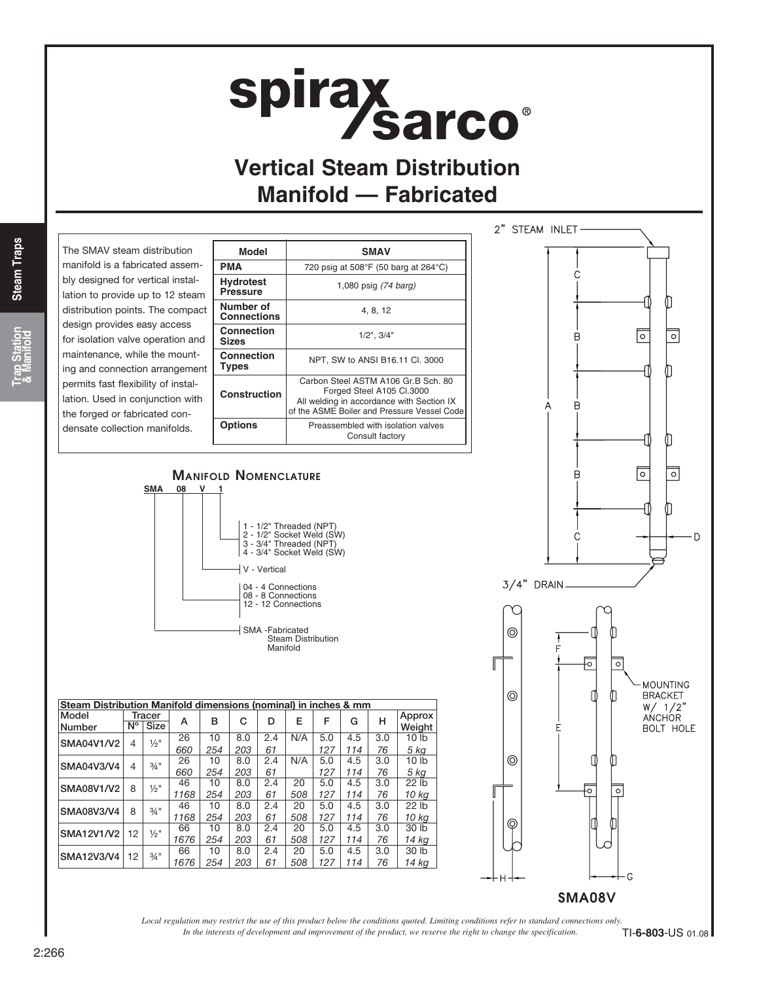# spirax<br>Sarco

## **Vertical Steam Distribution Manifold — Fabricated**

**Steam Traps Steam Traps**

**Trap Station & Manifold**

The SMAV steam distribution manifold is a fabricated assembly designed for vertical installation to provide up to 12 steam distribution points. The compact design provides easy access for isolation valve operation and maintenance, while the mounting and connection arrangement permits fast flexibility of installation. Used in conjunction with the forged or fabricated condensate collection manifolds.

| Model                               | <b>SMAV</b>                                                                                                                                                  |  |  |  |  |  |  |
|-------------------------------------|--------------------------------------------------------------------------------------------------------------------------------------------------------------|--|--|--|--|--|--|
| PMA                                 | 720 psig at $508^{\circ}F$ (50 barg at $264^{\circ}C$ )                                                                                                      |  |  |  |  |  |  |
| <b>Hydrotest</b><br><b>Pressure</b> | 1,080 psig (74 barg)                                                                                                                                         |  |  |  |  |  |  |
| Number of<br><b>Connections</b>     | 4, 8, 12                                                                                                                                                     |  |  |  |  |  |  |
| <b>Connection</b><br><b>Sizes</b>   | $1/2$ ", $3/4$ "                                                                                                                                             |  |  |  |  |  |  |
| Connection<br><b>Types</b>          | NPT, SW to ANSI B16.11 Cl. 3000                                                                                                                              |  |  |  |  |  |  |
| <b>Construction</b>                 | Carbon Steel ASTM A106 Gr.B Sch. 80<br>Forged Steel A105 Cl.3000<br>All welding in accordance with Section IX<br>of the ASME Boiler and Pressure Vessel Code |  |  |  |  |  |  |
| <b>Options</b>                      | Preassembled with isolation valves<br>Consult factory                                                                                                        |  |  |  |  |  |  |
|                                     |                                                                                                                                                              |  |  |  |  |  |  |



### 1 - 1/2" Threaded (NPT) 2 - 1/2" Socket Weld (SW) 3 - 3/4" Threaded (NPT) 4 - 3/4" Socket Weld (SW) V - Vertical 04 - 4 Connections 08 - 8 Connections 12 - 12 Connections SMA -Fabricated Steam Distribution Manifold **SMA** Manifold Nomenclature

| Steam Distribution Manifold dimensions (nominal) in inches & mm |             |                     |      |     |     |     |     |     |     |     |                  |  |
|-----------------------------------------------------------------|-------------|---------------------|------|-----|-----|-----|-----|-----|-----|-----|------------------|--|
| Model                                                           | Tracer      |                     |      | в   | c   | D   | Е   | F   | G   | н   | Approx           |  |
| Number                                                          | $N^{\circ}$ | <b>Size</b>         | A    |     |     |     |     |     |     |     | Weight           |  |
| SMA04V1/V2                                                      | 4           | $\frac{1}{2}$ "     | 26   | 10  | 8.0 | 2.4 | N/A | 5.0 | 4.5 | 3.0 | 10 <sub>lb</sub> |  |
|                                                                 |             |                     | 660  | 254 | 203 | 61  |     | 127 | 114 | 76  | 5 kg             |  |
| SMA04V3/V4                                                      | 4           | $3/4$ "             | 26   | 10  | 8.0 | 2.4 | N/A | 5.0 | 4.5 | 3.0 | 10 <sub>lb</sub> |  |
|                                                                 |             |                     | 660  | 254 | 203 | 61  |     | 127 | 114 | 76  | $5$ $kg$         |  |
| SMA08V1/V2                                                      | 8           | $\frac{1}{2}$ "     | 46   | 10  | 8.0 | 2.4 | 20  | 5.0 | 4.5 | 3.0 | 22 lb            |  |
|                                                                 |             |                     | 1168 | 254 | 203 | 61  | 508 | 127 | 114 | 76  | 10 kg            |  |
| SMA08V3/V4                                                      | 8           | $3/4$ <sup>11</sup> | 46   | 10  | 8.0 | 2.4 | 20  | 5.0 | 4.5 | 3.0 | 22 lb            |  |
|                                                                 |             |                     | 1168 | 254 | 203 | 61  | 508 | 127 | 114 | 76  | 10 kg            |  |
| <b>SMA12V1/V2</b>                                               | 12          | $\frac{1}{2}$ "     | 66   | 10  | 8.0 | 2.4 | 20  | 5.0 | 4.5 | 3.0 | 30 lb            |  |
|                                                                 |             |                     | 1676 | 254 | 203 | 61  | 508 | 127 | 114 | 76  | 14 kg            |  |
| SMA12V3/V4                                                      | 12          | $\frac{3}{4}$ "     | 66   | 10  | 8.0 | 2.4 | 20  | 5.0 | 4.5 | 3.0 | 30 lb            |  |
|                                                                 |             |                     | 1676 | 254 | 203 | 61  | 508 | 127 | 114 | 76  | 14 kg            |  |

*In the interests of development and improvement of the product, we reserve the right to change the specification. Local regulation may restrict the use of this product below the conditions quoted. Limiting conditions refer to standard connections only.*